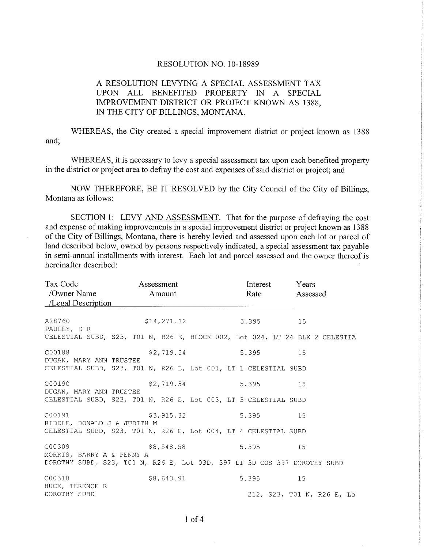## RESOLUTION NO. 10-18989

## A RESOLUTION LEVYING A SPECIAL ASSESSMENT TAX UPON ALL BENEFITED PROPERTY IN A SPECIAL IMPROVEMENT DISTRICT OR PROJECT KNOWN AS 1388, IN THE CITY OF BILLINGS, MONTANA.

WHEREAS, the City created a special improvement district or project known as 1388 and;

WHEREAS, it is necessary to levy a special assessment tax upon each benefited property in the district or project area to defray the cost and expenses of said district or project; and

NOW THEREFORE, BE IT RESOLVED by the City Council of the City of Billings, Montana as follows:

SECTION 1: LEVY AND ASSESSMENT. That for the purpose of defraying the cost and expense of making improvements in a special improvement district or project known as 1388 of the City of Billings, Montana, there is hereby levied and assessed upon each lot or parcel of land described below, owned by persons respectively indicated, a special assessment tax payable in semi-annual installments with interest. Each lot and parcel assessed and the owner thereof is hereinafter described:

| Tax Code and Tax Code<br>/Owner Name Amount<br>$\angle$ Legal Description                                                                                                                                    | Assessment   | Interest<br>Rate | Years<br>Assessed                |
|--------------------------------------------------------------------------------------------------------------------------------------------------------------------------------------------------------------|--------------|------------------|----------------------------------|
| A28760<br>PAULEY, D R<br>CELESTIAL SUBD, S23, T01 N, R26 E, BLOCK 002, Lot 024, LT 24 BLK 2 CELESTIA                                                                                                         | \$14, 271.12 | 5.395 15         |                                  |
| C00188<br>DUGAN, MARY ANN TRUSTEE<br>CELESTIAL SUBD, S23, T01 N, R26 E, Lot 001, LT 1 CELESTIAL SUBD                                                                                                         | \$2,719.54   | 5.395            | 15                               |
| C00190 and the contract of the contract of the contract of the contract of the contract of the contract of the<br>DUGAN, MARY ANN TRUSTEE<br>CELESTIAL SUBD, S23, T01 N, R26 E, Lot 003, LT 3 CELESTIAL SUBD | \$2,719.54   | 5.395            | 15                               |
| C00191<br>RIDDLE, DONALD J & JUDITH M<br>CELESTIAL SUBD, S23, T01 N, R26 E, Lot 004, LT 4 CELESTIAL SUBD                                                                                                     | \$3,915.32   | 5.395            | 15                               |
| C00309<br>MORRIS, BARRY A & PENNY A<br>DOROTHY SUBD, S23, T01 N, R26 E, Lot 03D, 397 LT 3D COS 397 DOROTHY SUBD                                                                                              | \$8,548.58   | 5.395            | 15                               |
| C00310<br>HUCK, TERENCE R<br>DOROTHY SUBD                                                                                                                                                                    | \$8,643.91   | 5.395            | 15<br>212, S23, TO1 N, R26 E, Lo |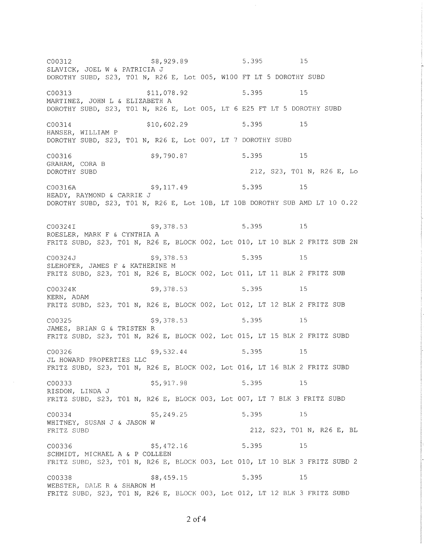\$8,929.89  $5.395$  15 C00312 SLAVICK, JOEL W & PATRICIA J DOROTHY SUBD, S23, T01 N, R26 E, Lot 005, W100 FT LT 5 DOROTHY SUBD 15 C00313 \$11,078.92 5.395 MARTINEZ, JOHN L & ELIZABETH A DOROTHY SUBD, S23, T01 N, R26 E, Lot 005, LT 6 E25 FT LT 5 DOROTHY SUBD C00314  $$10,602.29$ 5.395 15 HANSER, WILLIAM P DOROTHY SUBD, S23, T01 N, R26 E, Lot 007, LT 7 DOROTHY SUBD C00316 \$9,790.87 5.395 15 GRAHAM, CORA B 212, S23, T01 N, R26 E, Lo DOROTHY SUBD 5.395 15 C00316A \$9,117.49 HEADY, RAYMOND & CARRIE J DOROTHY SUBD, S23, T01 N, R26 E, Lot 10B, LT 10B DOROTHY SUB AMD LT 10 0.22 \$9,378.53 5.395 15 C00324I ROESLER, MARK F & CYNTHIA A FRITZ SUBD, S23, TO1 N, R26 E, BLOCK 002, Lot 010, LT 10 BLK 2 FRITZ SUB 2N C00324J  $$9,378.53$ 5.395 15 SLEHOFER, JAMES F & KATHERINE M FRITZ SUBD, S23, T01 N, R26 E, BLOCK 002, Lot 011, LT 11 BLK 2 FRITZ SUB  $$9,378.53$ 5.395 15 C00324K KERN, ADAM FRITZ SUBD, S23, T01 N, R26 E, BLOCK 002, Lot 012, LT 12 BLK 2 FRITZ SUB  $$9,378.53$ 5.395 C00325 15 JAMES, BRIAN G & TRISTEN R FRITZ SUBD, S23, T01 N, R26 E, BLOCK 002, Lot 015, LT 15 BLK 2 FRITZ SUBD \$9,532.44 5.395  $15$ C00326 JL HOWARD PROPERTIES LLC FRITZ SUBD, S23, T01 N, R26 E, BLOCK 002, Lot 016, LT 16 BLK 2 FRITZ SUBD \$5,917.98 5.395 15 C00333 RISDON, LINDA J FRITZ SUBD, S23, TO1 N, R26 E, BLOCK 003, Lot 007, LT 7 BLK 3 FRITZ SUBD \$5,249.25 5.395 15 C00334 WHITNEY, SUSAN J & JASON W 212, S23, T01 N, R26 E, BL FRITZ SUBD 5.395 15 C00336 \$5,472.16 SCHMIDT, MICHAEL A & P COLLEEN FRITZ SUBD, S23, T01 N, R26 E, BLOCK 003, Lot 010, LT 10 BLK 3 FRITZ SUBD 2 \$8,459.15 5.395 15 C00338 WEBSTER, DALE R & SHARON M FRITZ SUBD, S23, T01 N, R26 E, BLOCK 003, Lot 012, LT 12 BLK 3 FRITZ SUBD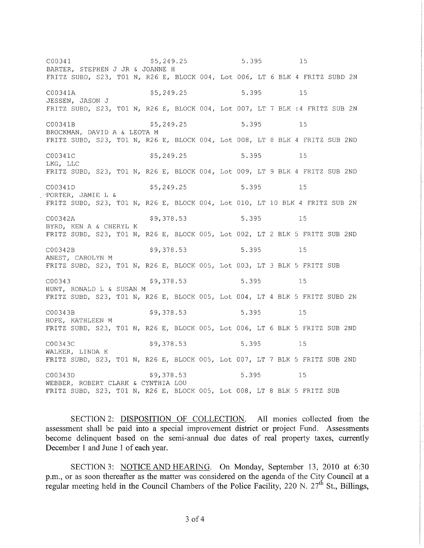5.395 C00341 \$5,249.25 15 BARTER, STEPHEN J JR & JOANNE H FRITZ SUBD, S23, TO1 N, R26 E, BLOCK 004, Lot 006, LT 6 BLK 4 FRITZ SUBD 2N 5.395 C00341A \$5,249.25 15 JESSEN, JASON J FRITZ SUBD, S23, TO1 N, R26 E, BLOCK 004, Lot 007, LT 7 BLK :4 FRITZ SUB 2N C00341B \$5,249.25 5.395 15 BROCKMAN, DAVID A & LEOTA M FRITZ SUBD, S23, T01 N, R26 E, BLOCK 004, Lot 008, LT 8 BLK 4 FRITZ SUB 2ND C00341C \$5,249.25 5.395 15 LKG, LLC FRITZ SUBD, S23, TO1 N, R26 E, BLOCK 004, Lot 009, LT 9 BLK 4 FRITZ SUB 2ND C00341D  $$5,249.25$ 5.395 15 PORTER, JAMIE L & FRITZ SUBD, S23, TO1 N, R26 E, BLOCK 004, Lot 010, LT 10 BLK 4 FRITZ SUB 2N \$9,378.53 5.395 15 C00342A BYRD, KEN A & CHERYL K FRITZ SUBD, S23, T01 N, R26 E, BLOCK 005, Lot 002, LT 2 BLK 5 FRITZ SUB 2ND \$9,378.53 5.395 C00342B 15 ANEST, CAROLYN M FRITZ SUBD, S23, TO1 N, R26 E, BLOCK 005, Lot 003, LT 3 BLK 5 FRITZ SUB C00343 \$9,378.53 5.395 15 HUNT, RONALD L & SUSAN M FRITZ SUBD, S23, T01 N, R26 E, BLOCK 005, Lot 004, LT 4 BLK 5 FRITZ SUBD 2N C00343B \$9,378.53 15 5.395 HOPE, KATHLEEN M FRITZ SUBD, S23, T01 N, R26 E, BLOCK 005, Lot 006, LT 6 BLK 5 FRITZ SUB 2ND \$9,378.53 C00343C 5.395 15 WALKER, LINDA K FRITZ SUBD, S23, TO1 N, R26 E, BLOCK 005, Lot 007, LT 7 BLK 5 FRITZ SUB 2ND \$9,378.53 5.395 C00343D  $15$ WEBBER, ROBERT CLARK & CYNTHIA LOU FRITZ SUBD, S23, TO1 N, R26 E, BLOCK 005, Lot 008, LT 8 BLK 5 FRITZ SUB

SECTION 2: DISPOSITION OF COLLECTION. All monies collected from the assessment shall be paid into a special improvement district or project Fund. Assessments become delinquent based on the semi-annual due dates of real property taxes, currently December 1 and June 1 of each year.

SECTION 3: NOTICE AND HEARING. On Monday, September 13, 2010 at 6:30 p.m., or as soon thereafter as the matter was considered on the agenda of the City Council at a regular meeting held in the Council Chambers of the Police Facility, 220 N.  $27<sup>th</sup>$  St., Billings,